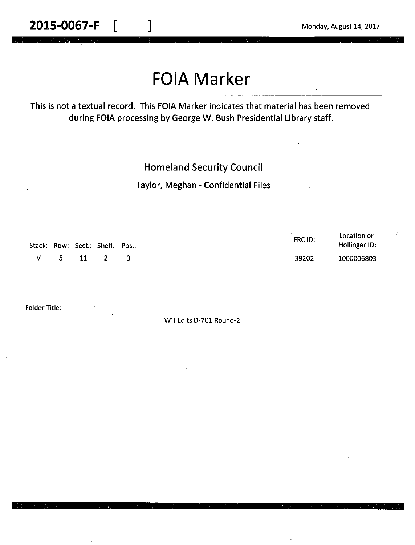# **FOIA Marker**

This is not a textual record. This FOIA Marker indicates that material has been removed during FOIA processing by George W. Bush Presidential Library staff.

## Homeland Security Council

### Taylor, Meghan - Confidential Files

|          |  | Stack: Row: Sect.: Shelf: Pos.: | FRC ID: | Location or<br>Hollinger ID: |
|----------|--|---------------------------------|---------|------------------------------|
| V 5 11 2 |  |                                 | 39202   | 1000006803                   |

Folder Title:

WH Edits D-701 Round-2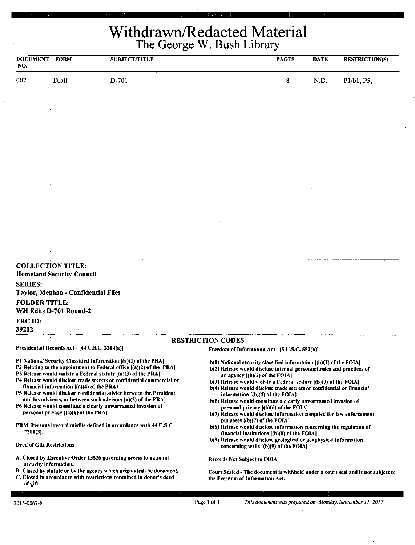## Withdrawn/Redacted Material The George W. Bush Library

| <b>DOCUMENT</b><br>NO.                         | <b>FORM</b>                                                  | <b>SUBJECT/TITLE</b> |                                                |  | <b>PAGES</b><br>Í | <b>DATE</b> | <b>RESTRICTION(S)</b> |  |
|------------------------------------------------|--------------------------------------------------------------|----------------------|------------------------------------------------|--|-------------------|-------------|-----------------------|--|
| 002                                            | Draft                                                        | D-701                |                                                |  | ${\bf 8}$         | N.D.        | P1/b1; P5;            |  |
|                                                |                                                              |                      |                                                |  |                   |             |                       |  |
|                                                |                                                              |                      |                                                |  |                   |             |                       |  |
|                                                |                                                              |                      |                                                |  |                   |             |                       |  |
|                                                |                                                              |                      |                                                |  |                   |             |                       |  |
|                                                |                                                              |                      |                                                |  |                   |             |                       |  |
|                                                |                                                              |                      |                                                |  |                   |             |                       |  |
|                                                |                                                              |                      |                                                |  |                   |             |                       |  |
|                                                |                                                              |                      |                                                |  |                   |             |                       |  |
|                                                |                                                              |                      |                                                |  |                   |             |                       |  |
|                                                |                                                              |                      |                                                |  |                   |             |                       |  |
|                                                |                                                              |                      |                                                |  |                   |             |                       |  |
|                                                |                                                              |                      |                                                |  |                   |             |                       |  |
|                                                |                                                              |                      |                                                |  |                   |             |                       |  |
|                                                | ÷.                                                           |                      |                                                |  |                   |             |                       |  |
| <b>SERIES:</b>                                 | <b>COLLECTION TITLE:</b><br><b>Homeland Security Council</b> |                      |                                                |  |                   |             |                       |  |
|                                                | Taylor, Meghan - Confidential Files                          |                      |                                                |  |                   |             |                       |  |
| <b>FOLDER TITLE:</b>                           | WH Edits D-701 Round-2                                       |                      |                                                |  |                   |             |                       |  |
| FRC ID:<br>39202                               |                                                              |                      |                                                |  |                   |             |                       |  |
|                                                |                                                              |                      | <b>RESTRICTION CODES</b>                       |  |                   |             |                       |  |
| Presidential Records Act - [44 U.S.C. 2204(a)] |                                                              |                      | Freedom of Information Act - [5 U.S.C. 552(b)] |  |                   |             |                       |  |

financial information  $[(a)(4)$  of the PRA $]$ 

personal privacy ((a)(6) of the PRAJ

Pl National Security Classified Information ((a)(l) of the PRA) P2 Relating to the appointment to Federal office  $[(a)(2)$  of the PRA] P3 Release would violate a Federal statute [(a)(3) of the PRA] P4 Release would disclose trade secrets or confidential commercial or

PS Release would disclose confidential advice between the President and his advisors, or between such advisors (a)(S) of the PRA) P6 Release would constitute a clearly unwarranted invasion of

PRM. Personal record misfile defined in accordance with 44 U.S.C.

A. Closed by Executive Order 13526 governing access to national

B. Closed by statute or by the agency which originated the document. C. Closed in accordance with restrictions contained in donor's deed

- 
- b(l) National security classified information ((b)(l) of the FOIAJ b(2) Release would disclose internal personnel rules and practices of **an** agency ((b)(2) of the FOIAJ
- b(3) Release would violate a Federal statute  $($ (b)(3) of the FOIAl
- b(4) Release would disclose trade secrets or confidential or financial information ((b)(4) of **the** FOIAJ
- b(6) Release would constitute a clearly unwarranted invasion of personal privacy ((b)(6) of the FOIA)
- b(7) Release would disclose information compiled for law enforcement purposes f(b)(7) of the **FOIA]**
- b(8) Release would disclose information concerning the regulation of financial institutions ((b)(8) of the FOIAJ
- b(9) Release would disclose geological or geophysical information concerning wells ((b)(9) of the FOIA]

Records Not Subject to FOIA

Court Sealed - The document is withheld under a court seal and is not subject to the Freedom of Information Act.

of gift.

2201(3).

Deed of Gift Restrictions

security information.

Page 1 of 1 *This document was prepared on Monday, September 11, 2017*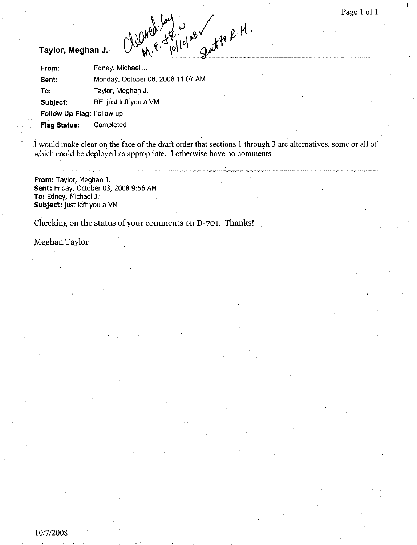### **Taylor, Meghan J.**

| $\mathcal{X}^{\mathbf{6}}$ $\mathcal{C}^{\alpha}$<br>Taylor, Meghan J. |                                   |  |  |  |  |  |  |
|------------------------------------------------------------------------|-----------------------------------|--|--|--|--|--|--|
| From:                                                                  | Edney, Michael J.                 |  |  |  |  |  |  |
| Sent:                                                                  | Monday, October 06, 2008 11:07 AM |  |  |  |  |  |  |
| To:                                                                    | Taylor, Meghan J.                 |  |  |  |  |  |  |
| Subject:                                                               | RE: just left you a VM            |  |  |  |  |  |  |
| Follow Up Flag: Follow up                                              |                                   |  |  |  |  |  |  |
| <b>Flag Status:</b>                                                    | Completed                         |  |  |  |  |  |  |

I would make clear on the face of the draft order that sections 1 through 3 are alternatives, some or all of which could be deployed as appropriate. I otherwise have no comments.

**From:** Taylor, Meghan J. **Sent:** Friday, October 03, 2008 9:56 AM **To:** Edney, Michael J. **Subject:** just left you a VM

Checking on the status of your comments on D-701. Thanks!

Meghan Taylor